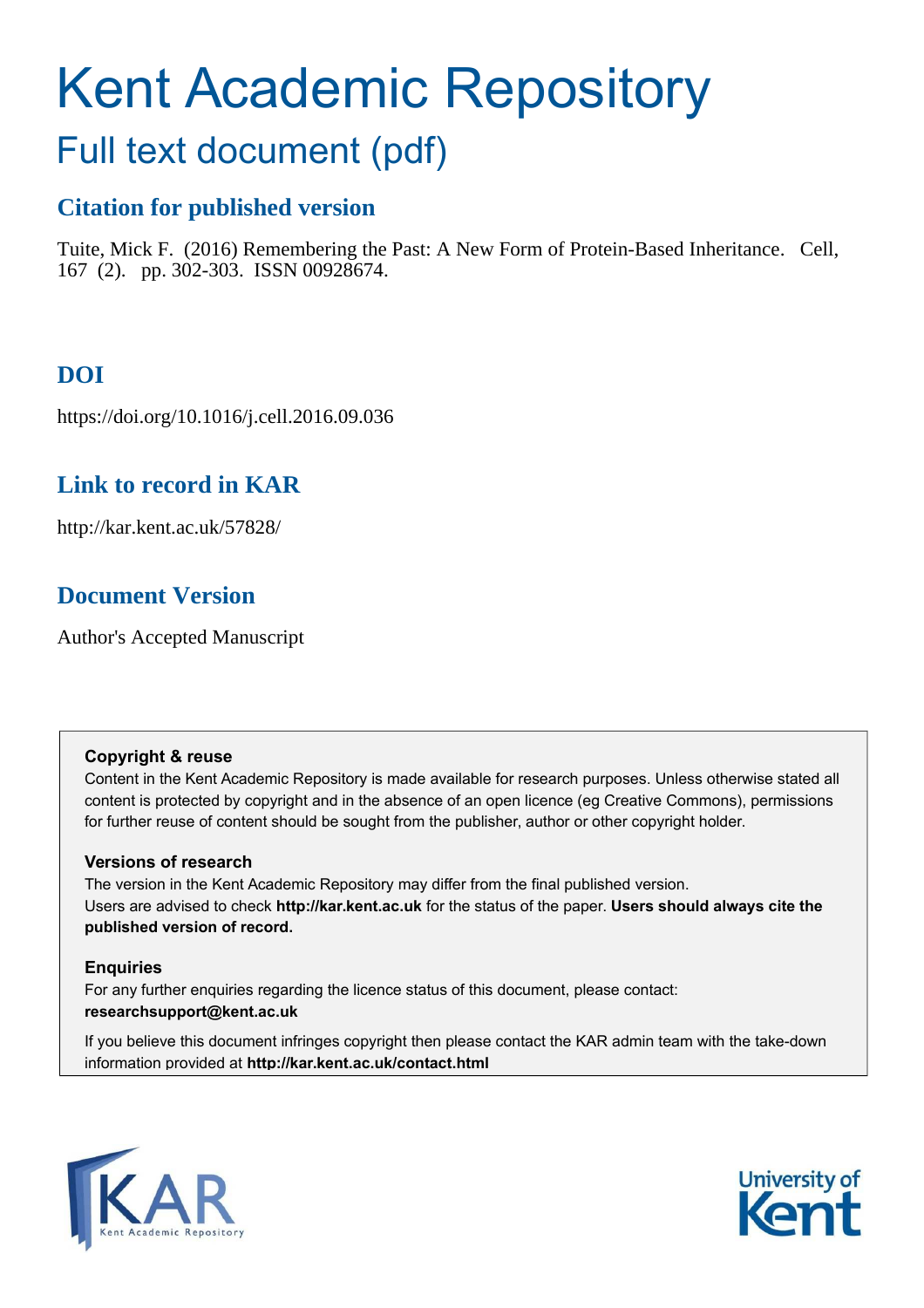# Kent Academic Repository

# Full text document (pdf)

# **Citation for published version**

Tuite, Mick F. (2016) Remembering the Past: A New Form of Protein-Based Inheritance. Cell, 167 (2). pp. 302-303. ISSN 00928674.

# **DOI**

https://doi.org/10.1016/j.cell.2016.09.036

# **Link to record in KAR**

http://kar.kent.ac.uk/57828/

# **Document Version**

Author's Accepted Manuscript

## **Copyright & reuse**

Content in the Kent Academic Repository is made available for research purposes. Unless otherwise stated all content is protected by copyright and in the absence of an open licence (eg Creative Commons), permissions for further reuse of content should be sought from the publisher, author or other copyright holder.

## **Versions of research**

The version in the Kent Academic Repository may differ from the final published version. Users are advised to check **http://kar.kent.ac.uk** for the status of the paper. **Users should always cite the published version of record.**

## **Enquiries**

For any further enquiries regarding the licence status of this document, please contact: **researchsupport@kent.ac.uk**

If you believe this document infringes copyright then please contact the KAR admin team with the take-down information provided at **http://kar.kent.ac.uk/contact.html**



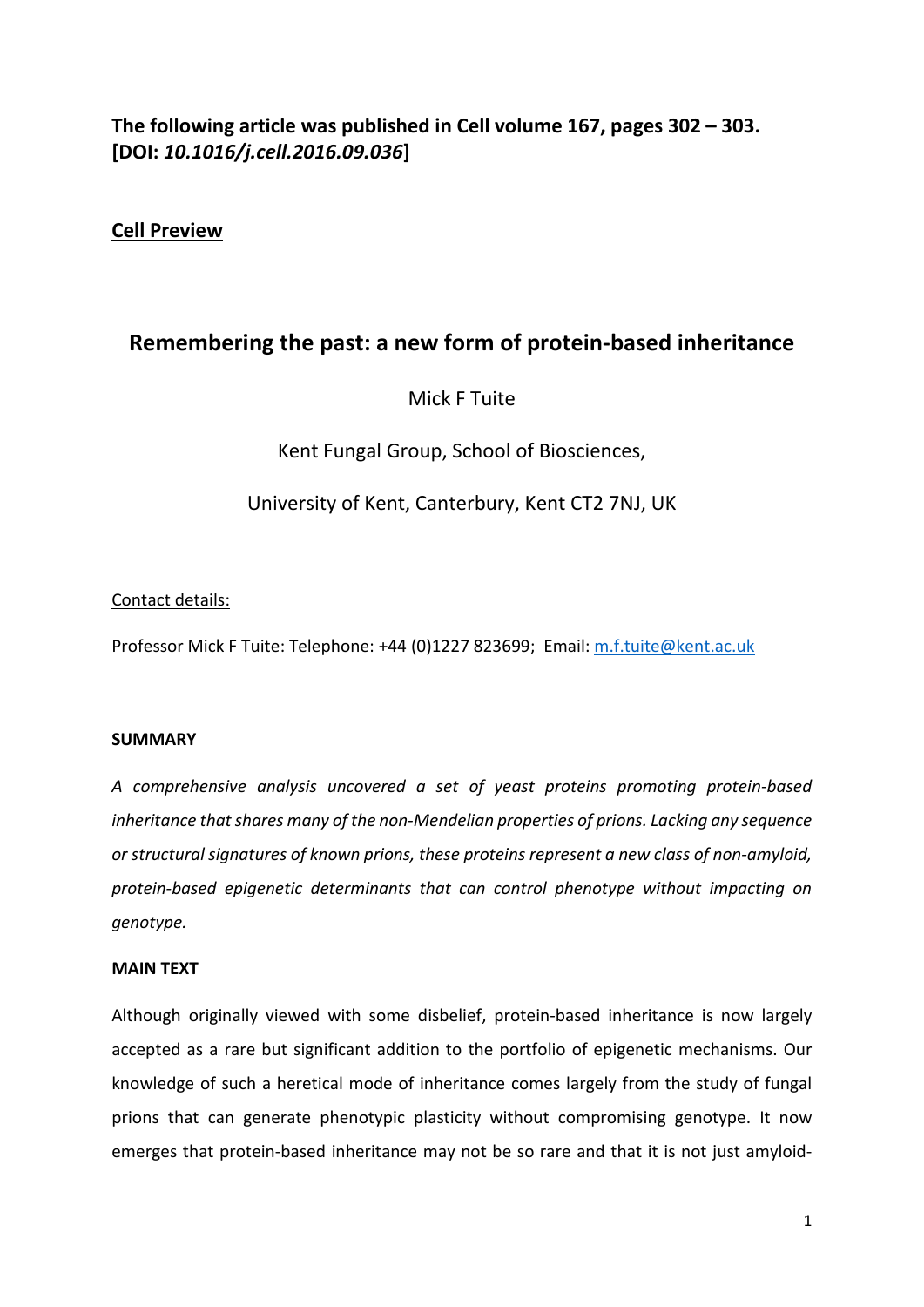# The following article was published in Cell volume 167, pages 302 – 303. **[DOI:** *10.1016/j.cell.2016.09.036***]**

# **Cell Preview**

# **Remembering the past: a new form of protein-based inheritance**

Mick F Tuite

Kent Fungal Group, School of Biosciences,

University of Kent, Canterbury, Kent CT2 7NJ, UK

#### Contact details:

Professor Mick F Tuite: Telephone: +44 (0)1227 823699; Email: [m.f.tuite@kent.ac.uk](mailto:m.f.tuite@kent.ac.uk)

#### **SUMMARY**

*A comprehensive analysis uncovered a set of yeast proteins promoting protein-based inheritance that shares many of the non-Mendelian properties of prions. Lacking any sequence or structural signatures of known prions, these proteins represent a new class of non-amyloid, protein-based epigenetic determinants that can control phenotype without impacting on genotype.*

#### **MAIN TEXT**

Although originally viewed with some disbelief, protein-based inheritance is now largely accepted as a rare but significant addition to the portfolio of epigenetic mechanisms. Our knowledge of such a heretical mode of inheritance comes largely from the study of fungal prions that can generate phenotypic plasticity without compromising genotype. It now emerges that protein-based inheritance may not be so rare and that it is not just amyloid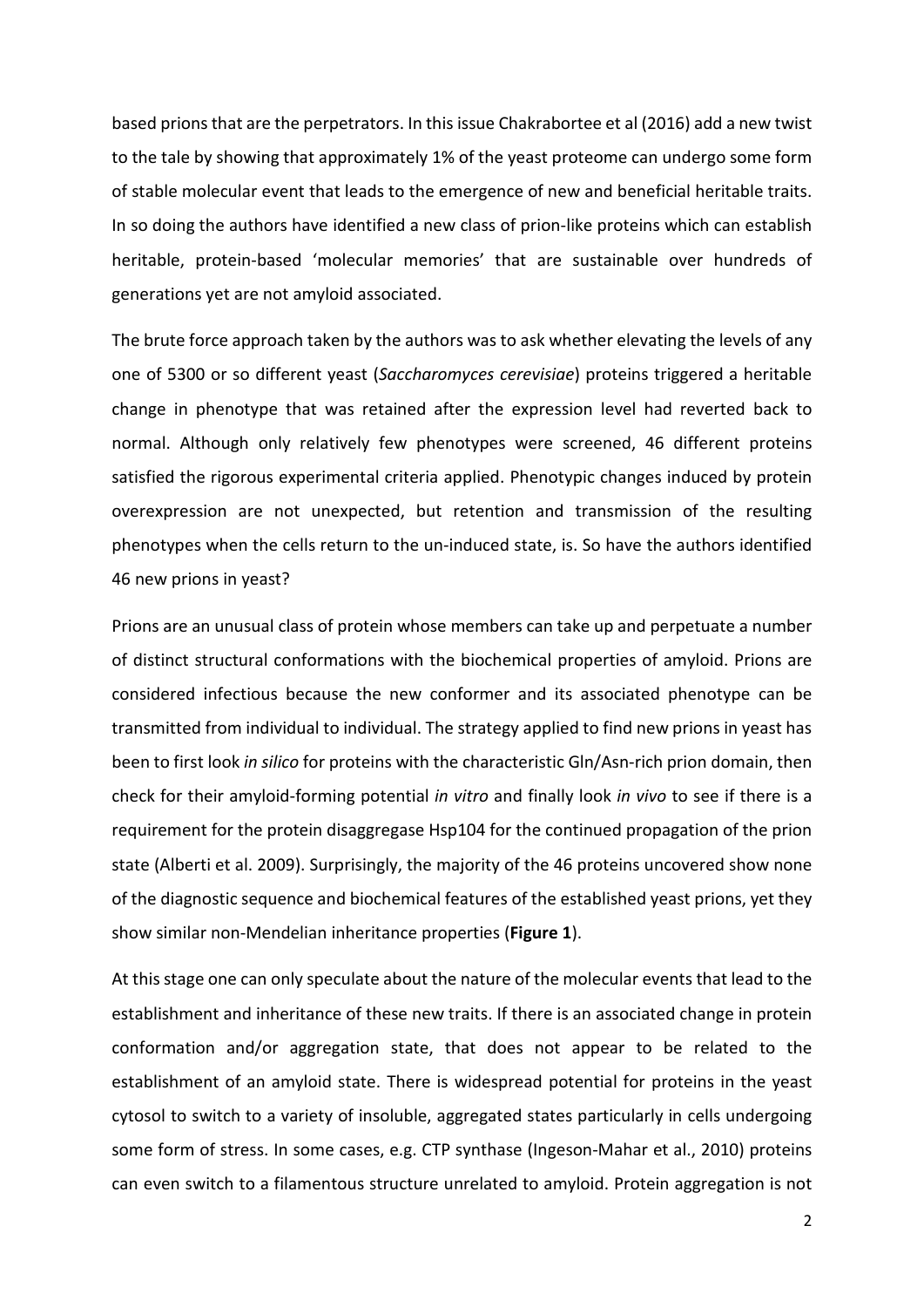based prions that are the perpetrators. In this issue Chakrabortee et al (2016) add a new twist to the tale by showing that approximately 1% of the yeast proteome can undergo some form of stable molecular event that leads to the emergence of new and beneficial heritable traits. In so doing the authors have identified a new class of prion-like proteins which can establish heritable, protein-based 'molecular memories' that are sustainable over hundreds of generations yet are not amyloid associated.

The brute force approach taken by the authors was to ask whether elevating the levels of any one of 5300 or so different yeast (*Saccharomyces cerevisiae*) proteins triggered a heritable change in phenotype that was retained after the expression level had reverted back to normal. Although only relatively few phenotypes were screened, 46 different proteins satisfied the rigorous experimental criteria applied. Phenotypic changes induced by protein overexpression are not unexpected, but retention and transmission of the resulting phenotypes when the cells return to the un-induced state, is. So have the authors identified 46 new prions in yeast?

Prions are an unusual class of protein whose members can take up and perpetuate a number of distinct structural conformations with the biochemical properties of amyloid. Prions are considered infectious because the new conformer and its associated phenotype can be transmitted from individual to individual. The strategy applied to find new prions in yeast has been to first look *in silico* for proteins with the characteristic Gln/Asn-rich prion domain, then check for their amyloid-forming potential *in vitro* and finally look *in vivo* to see if there is a requirement for the protein disaggregase Hsp104 for the continued propagation of the prion state (Alberti et al. 2009). Surprisingly, the majority of the 46 proteins uncovered show none of the diagnostic sequence and biochemical features of the established yeast prions, yet they show similar non-Mendelian inheritance properties (**Figure 1**).

At this stage one can only speculate about the nature of the molecular events that lead to the establishment and inheritance of these new traits. If there is an associated change in protein conformation and/or aggregation state, that does not appear to be related to the establishment of an amyloid state. There is widespread potential for proteins in the yeast cytosol to switch to a variety of insoluble, aggregated states particularly in cells undergoing some form of stress. In some cases, e.g. CTP synthase (Ingeson-Mahar et al., 2010) proteins can even switch to a filamentous structure unrelated to amyloid. Protein aggregation is not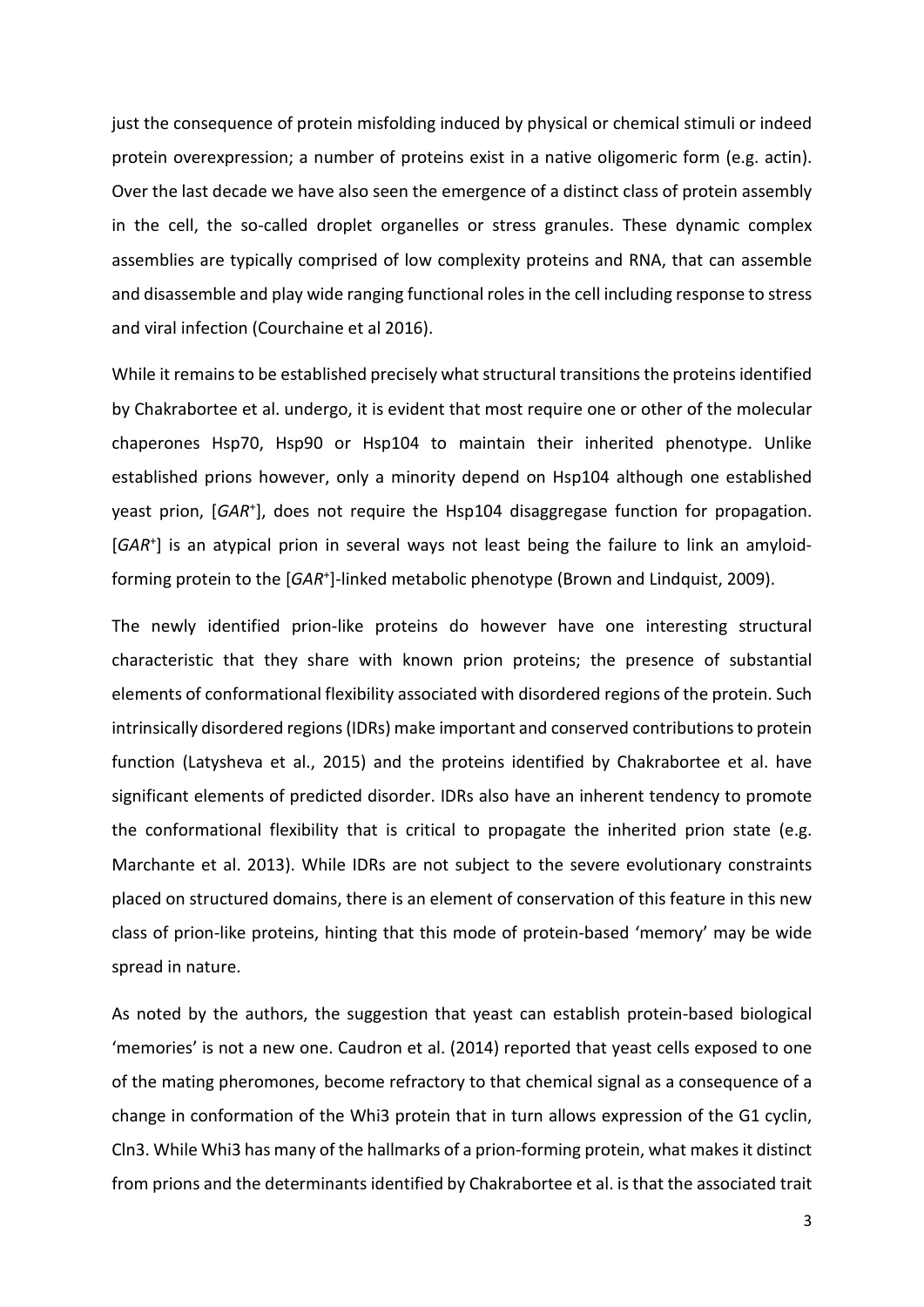just the consequence of protein misfolding induced by physical or chemical stimuli or indeed protein overexpression; a number of proteins exist in a native oligomeric form (e.g. actin). Over the last decade we have also seen the emergence of a distinct class of protein assembly in the cell, the so-called droplet organelles or stress granules. These dynamic complex assemblies are typically comprised of low complexity proteins and RNA, that can assemble and disassemble and play wide ranging functional roles in the cell including response to stress and viral infection (Courchaine et al 2016).

While it remains to be established precisely what structural transitions the proteins identified by Chakrabortee et al. undergo, it is evident that most require one or other of the molecular chaperones Hsp70, Hsp90 or Hsp104 to maintain their inherited phenotype. Unlike established prions however, only a minority depend on Hsp104 although one established yeast prion, [GAR<sup>+</sup>], does not require the Hsp104 disaggregase function for propagation. [GAR<sup>+</sup>] is an atypical prion in several ways not least being the failure to link an amyloidforming protein to the [GAR<sup>+</sup>]-linked metabolic phenotype (Brown and Lindquist, 2009).

The newly identified prion-like proteins do however have one interesting structural characteristic that they share with known prion proteins; the presence of substantial elements of conformational flexibility associated with disordered regions of the protein. Such intrinsically disordered regions (IDRs) make important and conserved contributions to protein function (Latysheva et al., 2015) and the proteins identified by Chakrabortee et al. have significant elements of predicted disorder. IDRs also have an inherent tendency to promote the conformational flexibility that is critical to propagate the inherited prion state (e.g. Marchante et al. 2013). While IDRs are not subject to the severe evolutionary constraints placed on structured domains, there is an element of conservation of this feature in this new class of prion-like proteins, hinting that this mode of protein-based 'memory' may be wide spread in nature.

As noted by the authors, the suggestion that yeast can establish protein-based biological 'memories' is not a new one. Caudron et al. (2014) reported that yeast cells exposed to one of the mating pheromones, become refractory to that chemical signal as a consequence of a change in conformation of the Whi3 protein that in turn allows expression of the G1 cyclin, Cln3. While Whi3 has many of the hallmarks of a prion-forming protein, what makes it distinct from prions and the determinants identified by Chakrabortee et al. is that the associated trait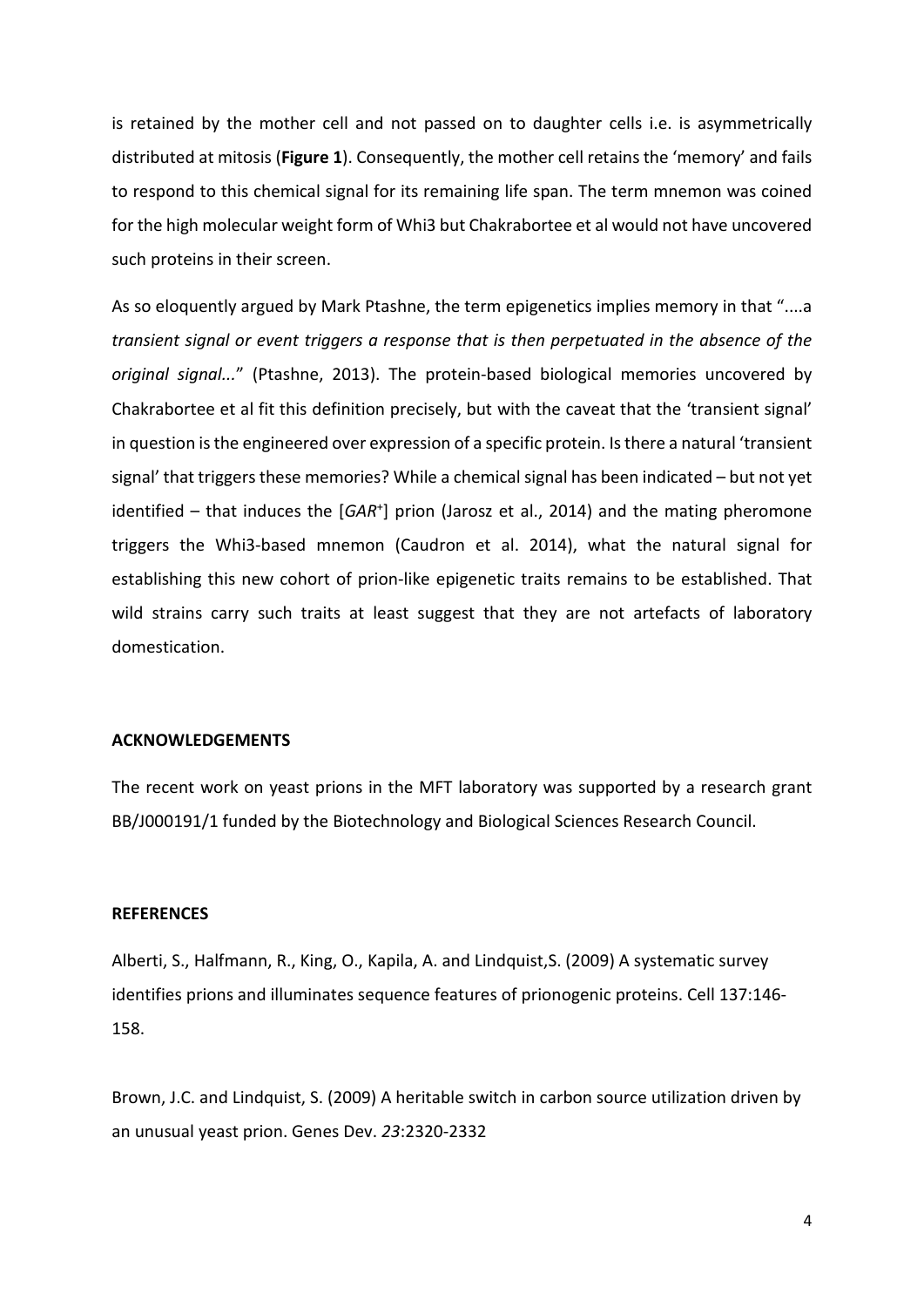is retained by the mother cell and not passed on to daughter cells i.e. is asymmetrically distributed at mitosis (Figure 1). Consequently, the mother cell retains the 'memory' and fails to respond to this chemical signal for its remaining life span. The term mnemon was coined for the high molecular weight form of Whi3 but Chakrabortee et al would not have uncovered such proteins in their screen.

As so eloquently argued by Mark Ptashne, the term epigenetics implies memory in that "....a *transient signal or event triggers a response that is then perpetuated in the absence of the original signal...*î (Ptashne, 2013). The protein-based biological memories uncovered by Chakrabortee et al fit this definition precisely, but with the caveat that the 'transient signal' in question is the engineered over expression of a specific protein. Is there a natural 'transient signal' that triggers these memories? While a chemical signal has been indicated - but not yet identified – that induces the [GAR<sup>+</sup>] prion (Jarosz et al., 2014) and the mating pheromone triggers the Whi3-based mnemon (Caudron et al. 2014), what the natural signal for establishing this new cohort of prion-like epigenetic traits remains to be established. That wild strains carry such traits at least suggest that they are not artefacts of laboratory domestication.

#### **ACKNOWLEDGEMENTS**

The recent work on yeast prions in the MFT laboratory was supported by a research grant BB/J000191/1 funded by the Biotechnology and Biological Sciences Research Council.

#### **REFERENCES**

Alberti, S., Halfmann, R., King, O., Kapila, A. and Lindquist,S. (2009) [A systematic survey](http://www.ncbi.nlm.nih.gov/pubmed/19345193)  [identifies prions and illuminates sequence features of prionogenic proteins.](http://www.ncbi.nlm.nih.gov/pubmed/19345193) Cell 137:146- 158.

Brown, J.C. and Lindquist, S. (2009) [A heritable switch in carbon source utilization driven by](http://www.ncbi.nlm.nih.gov/pubmed/19797769)  [an unusual yeast prion.](http://www.ncbi.nlm.nih.gov/pubmed/19797769) Genes Dev. *23*:2320-2332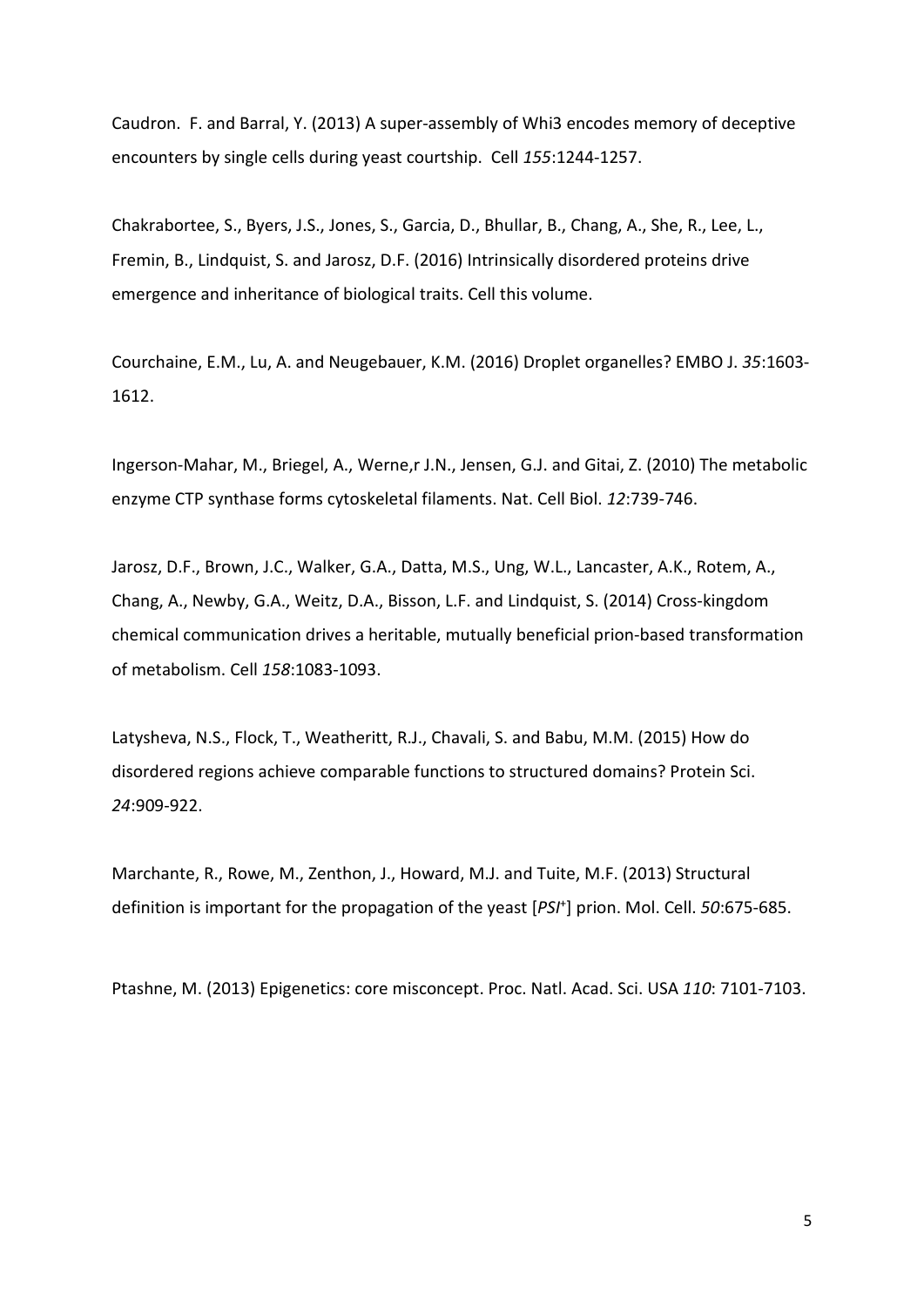Caudron. F. and Barral, Y. (2013) A super-assembly of Whi3 encodes memory of deceptive encounters by single cells during yeast courtship. Cell *155*:1244-1257.

Chakrabortee, S., Byers, J.S., Jones, S., Garcia, D., Bhullar, B., Chang, A., She, R., Lee, L., Fremin, B., Lindquist, S. and Jarosz, D.F. (2016) Intrinsically disordered proteins drive emergence and inheritance of biological traits. Cell this volume.

Courchaine, E.M., Lu, A. and Neugebauer, K.M. (2016) Droplet [organelles?](http://www.ncbi.nlm.nih.gov/pubmed/27357569) EMBO J. *35*:1603- 1612.

Ingerson-Mahar, M., Briegel, A., Werne,r J.N., Jensen, G.J. and Gitai, Z. (2010) [The metabolic](http://www.ncbi.nlm.nih.gov/pubmed/20639870)  [enzyme CTP synthase forms cytoskeletal filaments.](http://www.ncbi.nlm.nih.gov/pubmed/20639870) Nat. Cell Biol. *12*:739-746.

Jarosz, D.F., Brown, J.C., Walker, G.A., Datta, M.S., Ung, W.L., Lancaster, A.K., Rotem, A., Chang, A., Newby, G.A., Weitz, D.A., Bisson, L.F. and Lindquist, S. (2014) [Cross-kingdom](http://www.ncbi.nlm.nih.gov/pubmed/25171409)  [chemical communication drives a heritable, mutually beneficial prion-based transformation](http://www.ncbi.nlm.nih.gov/pubmed/25171409)  [of metabolism.](http://www.ncbi.nlm.nih.gov/pubmed/25171409) Cell *158*:1083-1093.

Latysheva, N.S., Flock, T., Weatheritt, R.J., Chavali, S. and Babu, M.M. (2015) [How do](http://www.ncbi.nlm.nih.gov/pubmed/25752799)  [disordered regions achieve comparable functions to structured domains?](http://www.ncbi.nlm.nih.gov/pubmed/25752799) Protein Sci. *24*:909-922.

Marchante, R., Rowe, M., Zenthon, J., Howard, M.J. and Tuite, M.F. (2013) [Structural](http://www.ncbi.nlm.nih.gov/pubmed/23746351)  [definition is important for the propagation of the yeast \[](http://www.ncbi.nlm.nih.gov/pubmed/23746351)*PSI*<sup>+</sup> ] prion. Mol. Cell. *50*:675-685.

Ptashne, M. (2013) Epigenetics: core misconcept. Proc. Natl. Acad. Sci. USA *110*: 7101-7103.